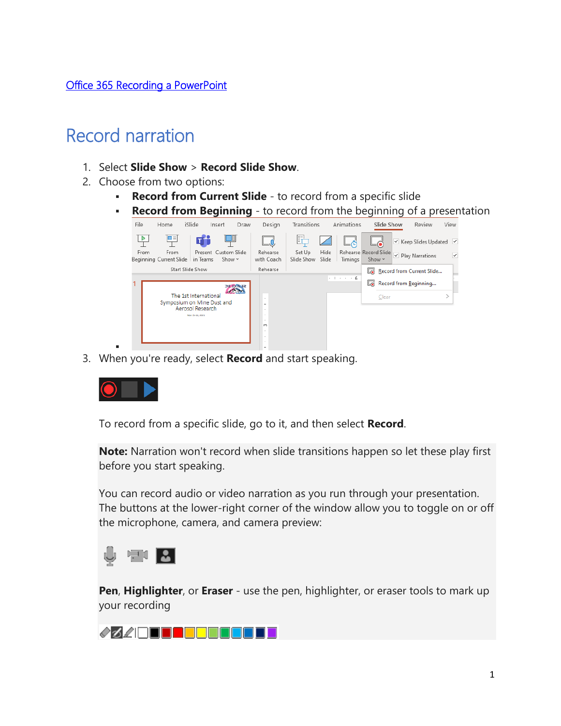#### [Office 365 Recording a PowerPoint](https://support.microsoft.com/en-us/office/record-a-slide-show-with-narration-and-slide-timings-0b9502c6-5f6c-40ae-b1e7-e47d8741161c?ui=en-us&rs=en-us&ad=us#OfficeVersion=Office_365)

### Record narration

- 1. Select **Slide Show** > **Record Slide Show**.
- 2. Choose from two options:
	- **· Record from Current Slide** to record from a specific slide
	- **Record from Beginning** to record from the beginning of a presentation



3. When you're ready, select **Record** and start speaking.



▪

To record from a specific slide, go to it, and then select **Record**.

**Note:** Narration won't record when slide transitions happen so let these play first before you start speaking.

You can record audio or video narration as you run through your presentation. The buttons at the lower-right corner of the window allow you to toggle on or off the microphone, camera, and camera preview:



**Pen**, **Highlighter**, or **Eraser** - use the pen, highlighter, or eraser tools to mark up your recording

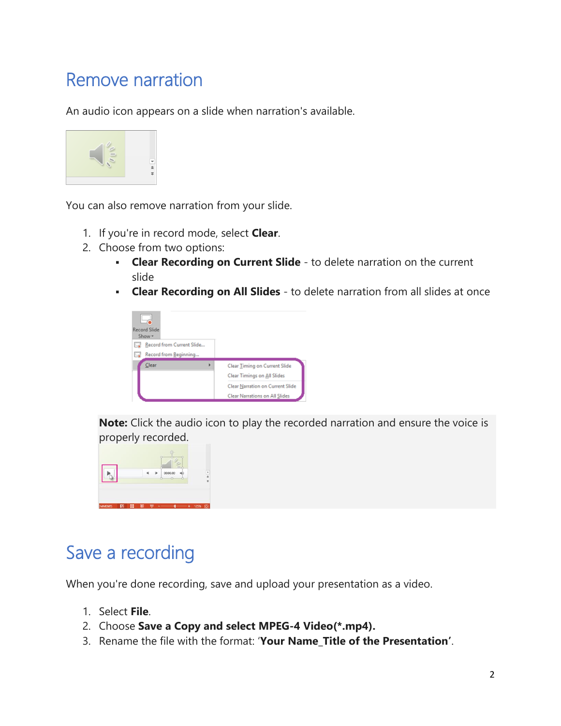## Remove narration

An audio icon appears on a slide when narration's available.



You can also remove narration from your slide.

- 1. If you're in record mode, select **Clear**.
- 2. Choose from two options:
	- **Clear Recording on Current Slide** to delete narration on the current slide
	- **Clear Recording on All Slides** to delete narration from all slides at once



**Note:** Click the audio icon to play the recorded narration and ensure the voice is properly recorded.



### Save a recording

When you're done recording, save and upload your presentation as a video.

- 1. Select **File**.
- 2. Choose **Save a Copy and select MPEG-4 Video(\*.mp4).**
- 3. Rename the file with the format: '**Your Name\_Title of the Presentation'**.